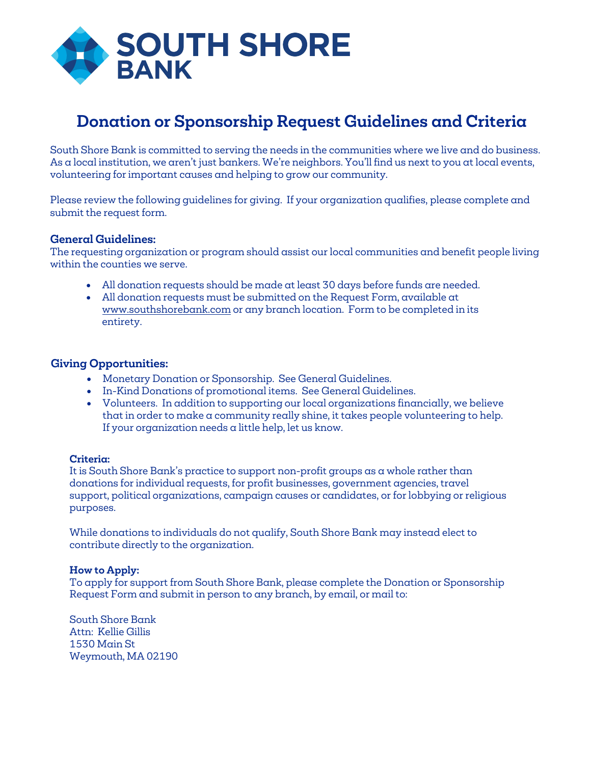

## **Donation or Sponsorship Request Guidelines and Criteria**

South Shore Bank is committed to serving the needs in the communities where we live and do business. As a local institution, we aren't just bankers. We're neighbors. You'll find us next to you at local events, volunteering for important causes and helping to grow our community.

Please review the following guidelines for giving. If your organization qualifies, please complete and submit the request form.

## **General Guidelines:**

The requesting organization or program should assist our local communities and benefit people living within the counties we serve.

- All donation requests should be made at least 30 days before funds are needed.
- All donation requests must be submitted on the Request Form, available at www.southshorebank.com or any branch location. Form to be completed in its entirety.

## **Giving Opportunities:**

- Monetary Donation or Sponsorship. See General Guidelines.
- In-Kind Donations of promotional items. See General Guidelines.
- Volunteers. In addition to supporting our local organizations financially, we believe that in order to make a community really shine, it takes people volunteering to help. If your organization needs a little help, let us know.

### **Criteria:**

It is South Shore Bank's practice to support non-profit groups as a whole rather than donations for individual requests, for profit businesses, government agencies, travel support, political organizations, campaign causes or candidates, or for lobbying or religious purposes.

While donations to individuals do not qualify, South Shore Bank may instead elect to contribute directly to the organization.

### **How to Apply:**

To apply for support from South Shore Bank, please complete the Donation or Sponsorship Request Form and submit in person to any branch, by email, or mail to:

South Shore Bank Attn: Kellie Gillis 1530 Main St Weymouth, MA 02190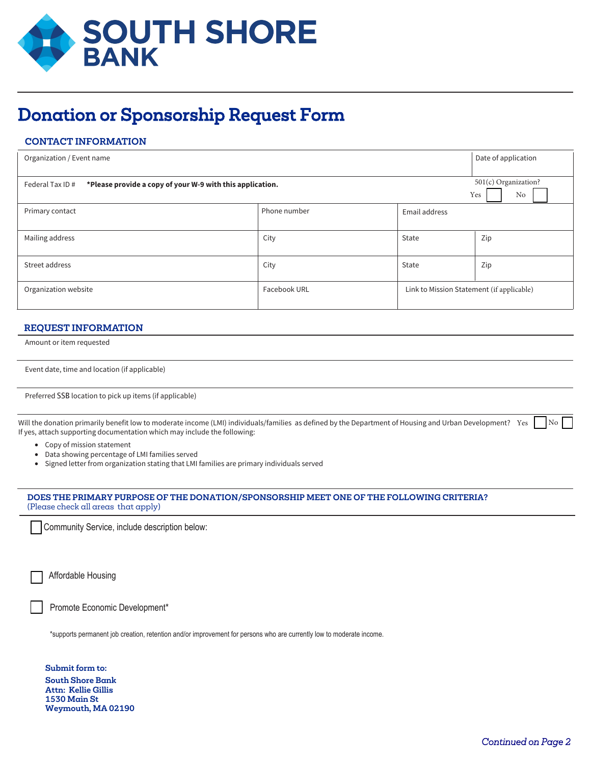

# Donation or Sponsorship Request Form

## **CONTACT INFORMATION**

| Organization / Event name                                                     |              | Date of application                       |                                   |
|-------------------------------------------------------------------------------|--------------|-------------------------------------------|-----------------------------------|
| Federal Tax ID #<br>*Please provide a copy of your W-9 with this application. |              |                                           | 501(c) Organization?<br>Yes<br>No |
| Primary contact                                                               | Phone number | Email address                             |                                   |
| Mailing address                                                               | City         | State                                     | Zip                               |
| Street address                                                                | City         | State                                     | Zip                               |
| Organization website                                                          | Facebook URL | Link to Mission Statement (if applicable) |                                   |

#### **REQUEST INFORMATION**

Amount or item requested

| Event date, time and location (if applicable) |  |  |  |  |
|-----------------------------------------------|--|--|--|--|
|-----------------------------------------------|--|--|--|--|

Preferred SSB location to pick up items (if applicable)

Will the donation primarily benefit low to moderate income (LMI) individuals/families as defined by the Department of Housing and Urban Development? Yes in No If yes, attach supporting documentation which may include the following:

- Copy of mission statement
- Data showing percentage of LMI families served
- Signed letter from organization stating that LMI families are primary individuals served

#### **DOES THE PRIMARY PURPOSE OF THE DONATION/SPONSORSHIP MEET ONE OF THE FOLLOWING CRITERIA?**  (Please check all areas that apply)

Community Service, include description below:

Affordable Housing

Promote Economic Development\*

\*supports permanent job creation, retention and/or improvement for persons who are currently low to moderate income.

**Submit form to: South Shore Bank Attn: Kellie Gillis 1530 Main St Weymouth, MA 02190**